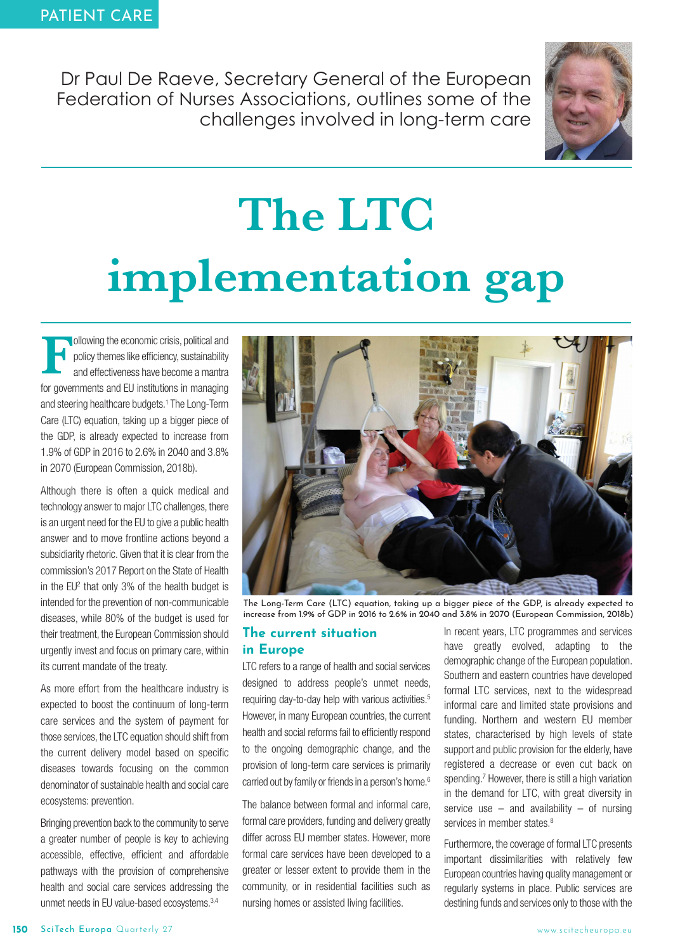Dr Paul De Raeve, Secretary General of the European Federation of Nurses Associations, outlines some of the challenges involved in long-term care



# **The LTC** montotion **i**<br>**i**mplementation galitical and

**Following the economic crisis, political and policy themes like efficiency, sustainability and effectiveness have become a mantra for governments and EU institutions in managing and steering healthcare budgets.<sup>1</sup> The Lon** policy themes like efficiency, sustainability and effectiveness have become a mantra for governments and EU institutions in managing and steering healthcare budgets.1 The Long-Term Care (LTC) equation, taking up a bigger piece of the GDP, is already expected to increase from 1.9% of GDP in 2016 to 2.6% in 2040 and 3.8% in 2070 (European Commission, 2018b).

Although there is often a quick medical and technology answer to major LTC challenges, there is an urgent need for the EU to give a public health answer and to move frontline actions beyond a subsidiarity rhetoric. Given that it is clear from the commission's 2017 Report on the State of Health in the  $EU^2$  that only 3% of the health budget is intended for the prevention of non-communicable diseases, while 80% of the budget is used for their treatment, the European Commission should urgently invest and focus on primary care, within its current mandate of the treaty.

As more effort from the healthcare industry is expected to boost the continuum of long-term care services and the system of payment for those services, the LTC equation should shift from the current delivery model based on specific diseases towards focusing on the common denominator of sustainable health and social care ecosystems: prevention.

Bringing prevention back to the community to serve a greater number of people is key to achieving accessible, effective, efficient and affordable pathways with the provision of comprehensive health and social care services addressing the unmet needs in EU value-based ecosystems.3,4



The Long-Term Care (LTC) equation, taking up a bigger piece of the GDP, is already expected to increase from 1.9% of GDP in 2016 to 2.6% in 2040 and 3.8% in 2070 (European Commission, 2018b)

#### **The current situation in Europe**

LTC refers to a range of health and social services designed to address people's unmet needs, requiring day-to-day help with various activities.<sup>5</sup> However, in many European countries, the current health and social reforms fail to efficiently respond to the ongoing demographic change, and the provision of long-term care services is primarily carried out by family or friends in a person's home.<sup>6</sup>

The balance between formal and informal care, formal care providers, funding and delivery greatly differ across EU member states. However, more formal care services have been developed to a greater or lesser extent to provide them in the community, or in residential facilities such as nursing homes or assisted living facilities.

In recent years, LTC programmes and services have greatly evolved, adapting to the demographic change of the European population. Southern and eastern countries have developed formal LTC services, next to the widespread informal care and limited state provisions and funding. Northern and western EU member states, characterised by high levels of state support and public provision for the elderly, have registered a decrease or even cut back on spending.<sup>7</sup> However, there is still a high variation in the demand for LTC, with great diversity in service use  $-$  and availability  $-$  of nursing services in member states.<sup>8</sup>

Furthermore, the coverage of formal LTC presents important dissimilarities with relatively few European countries having quality management or regularly systems in place. Public services are destining funds and services only to those with the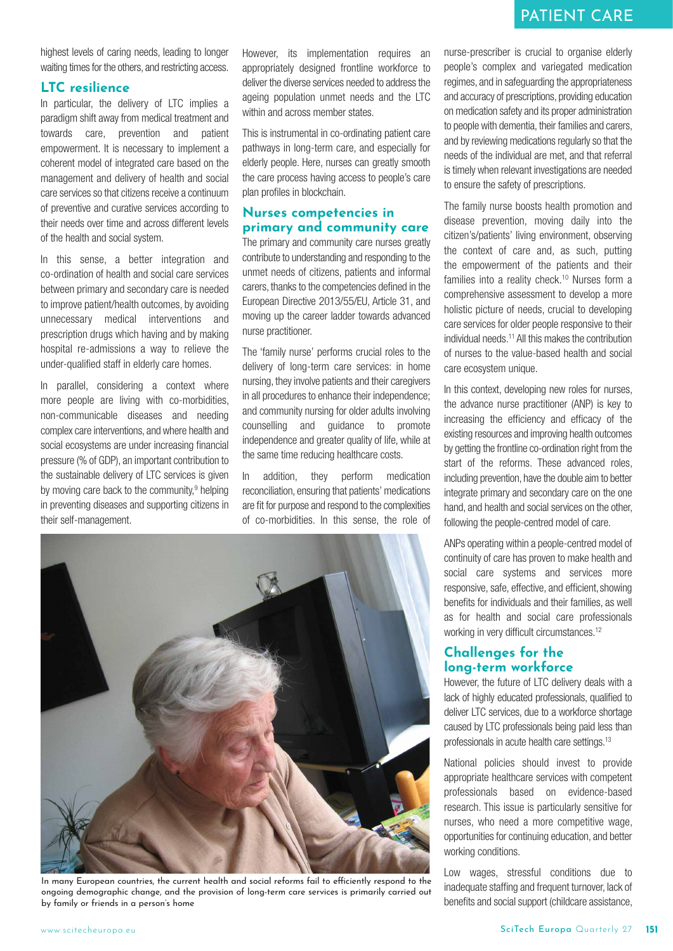highest levels of caring needs, leading to longer waiting times for the others, and restricting access.

#### **LTC resilience**

In particular, the delivery of LTC implies a paradigm shift away from medical treatment and towards care, prevention and patient empowerment. It is necessary to implement a coherent model of integrated care based on the management and delivery of health and social care services so that citizens receive a continuum of preventive and curative services according to their needs over time and across different levels of the health and social system.

In this sense, a better integration and co-ordination of health and social care services between primary and secondary care is needed to improve patient/health outcomes, by avoiding unnecessary medical interventions and prescription drugs which having and by making hospital re-admissions a way to relieve the under-qualified staff in elderly care homes.

In parallel, considering a context where more people are living with co-morbidities, non-communicable diseases and needing complex care interventions, and where health and social ecosystems are under increasing financial pressure (% of GDP), an important contribution to the sustainable delivery of LTC services is given by moving care back to the community, $9$  helping in preventing diseases and supporting citizens in their self-management.

However, its implementation requires an appropriately designed frontline workforce to deliver the diverse services needed to address the ageing population unmet needs and the LTC within and across member states.

This is instrumental in co-ordinating patient care pathways in long-term care, and especially for elderly people. Here, nurses can greatly smooth the care process having access to people's care plan profiles in blockchain.

#### **Nurses competencies in primary and community care**

The primary and community care nurses greatly contribute to understanding and responding to the unmet needs of citizens, patients and informal carers, thanks to the competencies defined in the European Directive 2013/55/EU, Article 31, and moving up the career ladder towards advanced nurse practitioner.

The 'family nurse' performs crucial roles to the delivery of long-term care services: in home nursing, they involve patients and their caregivers in all procedures to enhance their independence; and community nursing for older adults involving counselling and guidance to promote independence and greater quality of life, while at the same time reducing healthcare costs.

In addition, they perform medication reconciliation, ensuring that patients' medications are fit for purpose and respond to the complexities of co-morbidities. In this sense, the role of



In many European countries, the current health and social reforms fail to efficiently respond to the ongoing demographic change, and the provision of long-term care services is primarily carried out by family or friends in a person's home

nurse-prescriber is crucial to organise elderly people's complex and variegated medication regimes, and in safeguarding the appropriateness and accuracy of prescriptions, providing education on medication safety and its proper administration to people with dementia, their families and carers, and by reviewing medications regularly so that the needs of the individual are met, and that referral is timely when relevant investigations are needed to ensure the safety of prescriptions.

The family nurse boosts health promotion and disease prevention, moving daily into the citizen's/patients' living environment, observing the context of care and, as such, putting the empowerment of the patients and their families into a reality check.<sup>10</sup> Nurses form a comprehensive assessment to develop a more holistic picture of needs, crucial to developing care services for older people responsive to their individual needs.11 All this makes the contribution of nurses to the value-based health and social care ecosystem unique.

In this context, developing new roles for nurses, the advance nurse practitioner (ANP) is key to increasing the efficiency and efficacy of the existing resources and improving health outcomes by getting the frontline co-ordination right from the start of the reforms. These advanced roles, including prevention, have the double aim to better integrate primary and secondary care on the one hand, and health and social services on the other, following the people-centred model of care.

ANPs operating within a people-centred model of continuity of care has proven to make health and social care systems and services more responsive, safe, effective, and efficient, showing benefits for individuals and their families, as well as for health and social care professionals working in very difficult circumstances.<sup>12</sup>

### **Challenges for the long-term workforce**

However, the future of LTC delivery deals with a lack of highly educated professionals, qualified to deliver LTC services, due to a workforce shortage caused by LTC professionals being paid less than professionals in acute health care settings.<sup>13</sup>

National policies should invest to provide appropriate healthcare services with competent professionals based on evidence-based research. This issue is particularly sensitive for nurses, who need a more competitive wage, opportunities for continuing education, and better working conditions.

Low wages, stressful conditions due to inadequate staffing and frequent turnover, lack of benefits and social support (childcare assistance,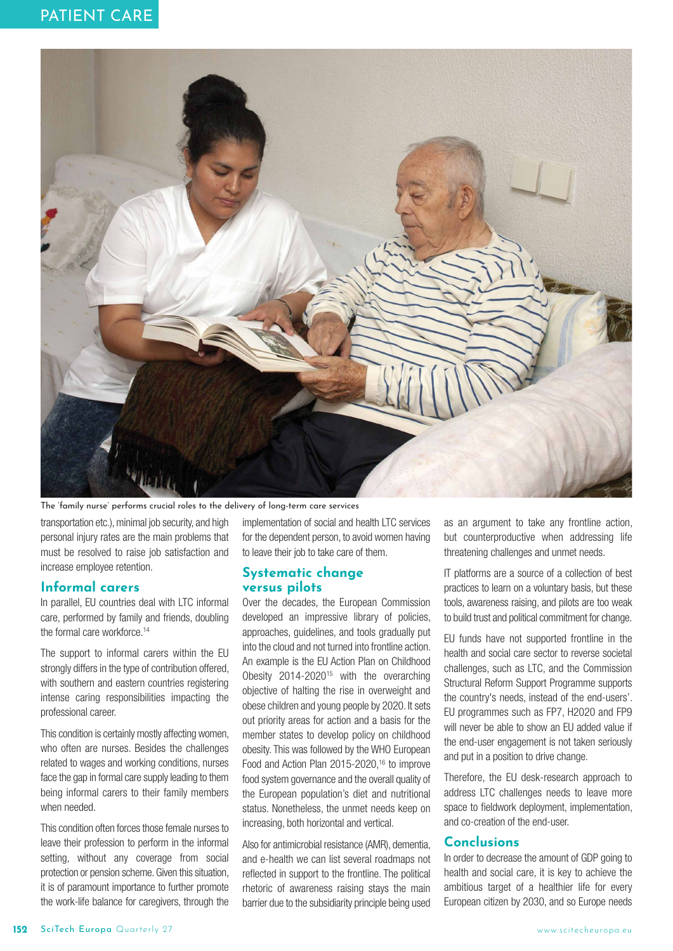

The 'family nurse' performs crucial roles to the delivery of long-term care services

transportation etc.), minimal job security, and high personal injury rates are the main problems that must be resolved to raise job satisfaction and increase employee retention.

#### Informal carers

In parallel, EU countries deal with LTC informal care, performed by family and friends, doubling the formal care workforce.<sup>14</sup>

The support to informal carers within the EU strongly differs in the type of contribution offered, with southern and eastern countries registering intense caring responsibilities impacting the professional career.

This condition is certainly mostly affecting women, who often are nurses. Besides the challenges related to wages and working conditions, nurses face the gap in formal care supply leading to them being informal carers to their family members when needed.

This condition often forces those female nurses to leave their profession to perform in the informal setting, without any coverage from social protection or pension scheme. Given this situation, it is of paramount importance to further promote the work-life balance for caregivers, through the

implementation of social and health LTC services for the dependent person, to avoid women having to leave their job to take care of them.

## **Systematic change**

**versus pilots** Over the decades, the European Commission developed an impressive library of policies, approaches, guidelines, and tools gradually put into the cloud and not turned into frontline action. An example is the EU Action Plan on Childhood Obesity 2014-2020<sup>15</sup> with the overarching objective of halting the rise in overweight and obese children and young people by 2020. It sets out priority areas for action and a basis for the member states to develop policy on childhood obesity. This was followed by the WHO European Food and Action Plan 2015-2020,<sup>16</sup> to improve food system governance and the overall quality of the European population's diet and nutritional status. Nonetheless, the unmet needs keep on increasing, both horizontal and vertical.

Also for antimicrobial resistance (AMR), dementia, and e-health we can list several roadmaps not reflected in support to the frontline. The political rhetoric of awareness raising stays the main barrier due to the subsidiarity principle being used

as an argument to take any frontline action, but counterproductive when addressing life threatening challenges and unmet needs.

IT platforms are a source of a collection of best practices to learn on a voluntary basis, but these tools, awareness raising, and pilots are too weak to build trust and political commitment for change.

EU funds have not supported frontline in the health and social care sector to reverse societal challenges, such as LTC, and the Commission Structural Reform Support Programme supports the country's needs, instead of the end-users'. EU programmes such as FP7, H2020 and FP9 will never be able to show an EU added value if the end-user engagement is not taken seriously and put in a position to drive change.

Therefore, the EU desk-research approach to address LTC challenges needs to leave more space to fieldwork deployment, implementation, and co-creation of the end-user.

**Conclusions** In order to decrease the amount of GDP going to health and social care, it is key to achieve the ambitious target of a healthier life for every European citizen by 2030, and so Europe needs